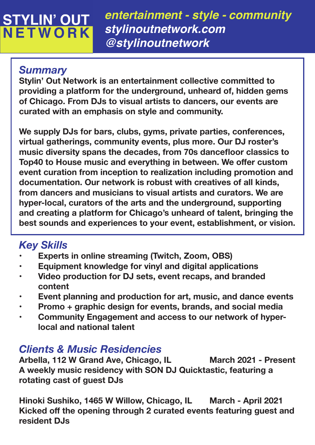# **STYLIN' OUT<br>NETWORK**

*entertainment - style - community stylinoutnetwork.com @stylinoutnetwork*

### *Summary*

**Stylin' Out Network is an entertainment collective committed to providing a platform for the underground, unheard of, hidden gems of Chicago. From DJs to visual artists to dancers, our events are curated with an emphasis on style and community.**

**We supply DJs for bars, clubs, gyms, private parties, conferences, virtual gatherings, community events, plus more. Our DJ roster's**  music diversity spans the decades, from 70s dancefloor classics to **Top40 to House music and everything in between. We offer custom event curation from inception to realization including promotion and documentation. Our network is robust with creatives of all kinds, from dancers and musicians to visual artists and curators. We are hyper-local, curators of the arts and the underground, supporting and creating a platform for Chicago's unheard of talent, bringing the best sounds and experiences to your event, establishment, or vision.**

## *Key Skills*

- **Experts in online streaming (Twitch, Zoom, OBS)**
- **Equipment knowledge for vinyl and digital applications**
- **Video production for DJ sets, event recaps, and branded content**
- **Event planning and production for art, music, and dance events**
- **Promo + graphic design for events, brands, and social media**
- **Community Engagement and access to our network of hyper local and national talent**

### *Clients & Music Residencies*

**Arbella, 112 W Grand Ave, Chicago, IL March 2021 - Present A weekly music residency with SON DJ Quicktastic, featuring a rotating cast of guest DJs**

**Hinoki Sushiko, 1465 W Willow, Chicago, IL March - April 2021 Kicked off the opening through 2 curated events featuring guest and resident DJs**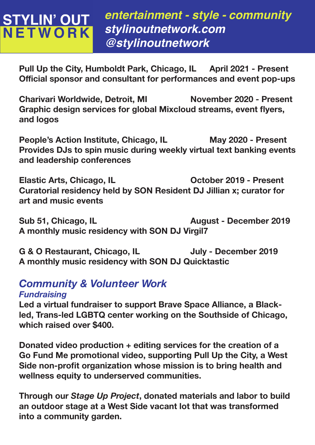## **STYLIN' OUT<br>NETWORK**

*entertainment - style - community stylinoutnetwork.com @stylinoutnetwork*

**Pull Up the City, Humboldt Park, Chicago, IL April 2021 - Present Official sponsor and consultant for performances and event pop-ups** 

**Charivari Worldwide, Detroit, MI November 2020 - Present Graphic design services for global Mixcloud streams, event flyers, and logos**

**People's Action Institute, Chicago, IL May 2020 - Present Provides DJs to spin music during weekly virtual text banking events and leadership conferences**

Elastic Arts, Chicago, IL **Chicago, IL** Cotober 2019 - Present **Curatorial residency held by SON Resident DJ Jillian x; curator for art and music events**

**Sub 51, Chicago, IL August - December 2019 A monthly music residency with SON DJ Virgil7**

G & O Restaurant, Chicago, IL July - December 2019 **A monthly music residency with SON DJ Quicktastic**

### *Community & Volunteer Work*

#### *Fundraising*

**Led a virtual fundraiser to support Brave Space Alliance, a Blackled, Trans-led LGBTQ center working on the Southside of Chicago, which raised over \$400.**

**Donated video production + editing services for the creation of a Go Fund Me promotional video, supporting Pull Up the City, a West Side non-profit organization whose mission is to bring health and wellness equity to underserved communities.** 

**Through our** *Stage Up Project***, donated materials and labor to build an outdoor stage at a West Side vacant lot that was transformed into a community garden.**